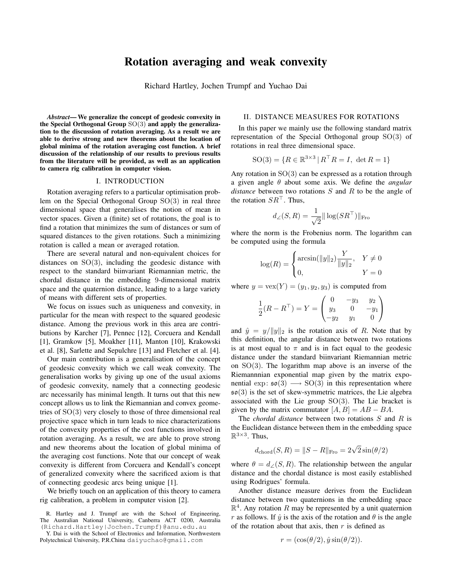# Rotation averaging and weak convexity

Richard Hartley, Jochen Trumpf and Yuchao Dai

*Abstract*— We generalize the concept of geodesic convexity in the Special Orthogonal Group  $SO(3)$  and apply the generalization to the discussion of rotation averaging. As a result we are able to derive strong and new theorems about the location of global minima of the rotation averaging cost function. A brief discussion of the relationship of our results to previous results from the literature will be provided, as well as an application to camera rig calibration in computer vision.

#### I. INTRODUCTION

Rotation averaging refers to a particular optimisation problem on the Special Orthogonal Group SO(3) in real three dimensional space that generalises the notion of mean in vector spaces. Given a (finite) set of rotations, the goal is to find a rotation that minimizes the sum of distances or sum of squared distances to the given rotations. Such a minimizing rotation is called a mean or averaged rotation.

There are several natural and non-equivalent choices for distances on SO(3), including the geodesic distance with respect to the standard biinvariant Riemannian metric, the chordal distance in the embedding 9-dimensional matrix space and the quaternion distance, leading to a large variety of means with different sets of properties.

We focus on issues such as uniqueness and convexity, in particular for the mean with respect to the squared geodesic distance. Among the previous work in this area are contributions by Karcher [7], Pennec [12], Corcuera and Kendall [1], Gramkow [5], Moakher [11], Manton [10], Krakowski et al. [8], Sarlette and Sepulchre [13] and Fletcher et al. [4].

Our main contribution is a generalisation of the concept of geodesic convexity which we call weak convexity. The generalisation works by giving up one of the usual axioms of geodesic convexity, namely that a connecting geodesic arc necessarily has minimal length. It turns out that this new concept allows us to link the Riemannian and convex geometries of  $SO(3)$  very closely to those of three dimensional real projective space which in turn leads to nice characterizations of the convexity properties of the cost functions involved in rotation averaging. As a result, we are able to prove strong and new theorems about the location of global minima of the averaging cost functions. Note that our concept of weak convexity is different from Corcuera and Kendall's concept of generalized convexity where the sacrificed axiom is that of connecting geodesic arcs being unique [1].

We briefly touch on an application of this theory to camera rig calibration, a problem in computer vision [2].

### II. DISTANCE MEASURES FOR ROTATIONS

In this paper we mainly use the following standard matrix representation of the Special Orthogonal group SO(3) of rotations in real three dimensional space.

$$
SO(3) = \{ R \in \mathbb{R}^{3 \times 3} \mid R^{\top} R = I, \ \det R = 1 \}
$$

Any rotation in SO(3) can be expressed as a rotation through a given angle θ about some axis. We define the *angular distance* between two rotations S and R to be the angle of the rotation  $SR^{\top}$ . Thus,

$$
d_{\angle}(S,R) = \frac{1}{\sqrt{2}} ||\log(SR^\top)||_{\text{Fro}}
$$

where the norm is the Frobenius norm. The logarithm can be computed using the formula

$$
\log(R) = \begin{cases} \arcsin(\|y\|_2) \frac{Y}{\|y\|_2}, & Y \neq 0\\ 0, & Y = 0 \end{cases}
$$

where  $y = \text{vex}(Y) = (y_1, y_2, y_3)$  is computed from

$$
\frac{1}{2}(R - R^{\top}) = Y = \begin{pmatrix} 0 & -y_3 & y_2 \\ y_3 & 0 & -y_1 \\ -y_2 & y_1 & 0 \end{pmatrix}
$$

and  $\hat{y} = y/||y||_2$  is the rotation axis of R. Note that by this definition, the angular distance between two rotations is at most equal to  $\pi$  and is in fact equal to the geodesic distance under the standard biinvariant Riemannian metric on  $SO(3)$ . The logarithm map above is an inverse of the Riemannnian exponential map given by the matrix exponential  $\exp: \mathfrak{so}(3) \longrightarrow SO(3)$  in this representation where  $\mathfrak{so}(3)$  is the set of skew-symmetric matrices, the Lie algebra associated with the Lie group  $SO(3)$ . The Lie bracket is given by the matrix commutator  $[A, B] = AB - BA$ .

The *chordal distance* between two rotations S and R is the Euclidean distance between them in the embedding space  $\mathbb{R}^{3\times 3}$ . Thus,

$$
d_{\text{chord}}(S, R) = ||S - R||_{\text{Fro}} = 2\sqrt{2}\sin(\theta/2)
$$

where  $\theta = d_{\angle}(S, R)$ . The relationship between the angular distance and the chordal distance is most easily established using Rodrigues' formula.

Another distance measure derives from the Euclidean distance between two quaternions in the embedding space  $\mathbb{R}^4$ . Any rotation R may be represented by a unit quaternion r as follows. If  $\hat{y}$  is the axis of the rotation and  $\theta$  is the angle of the rotation about that axis, then  $r$  is defined as

$$
r = (\cos(\theta/2), \hat{y}\sin(\theta/2)).
$$

R. Hartley and J. Trumpf are with the School of Engineering, The Australian National University, Canberra ACT 0200, Australia (Richard.Hartley|Jochen.Trumpf)@anu.edu.au

Y. Dai is with the School of Electronics and Information, Northwestern Polytechnical University, P.R.China daiyuchao@gmail.com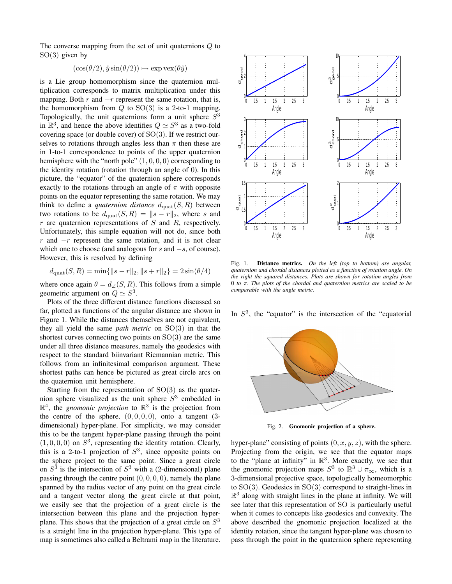The converse mapping from the set of unit quaternions Q to  $SO(3)$  given by

$$
(\cos(\theta/2), \hat{y}\sin(\theta/2)) \mapsto \exp \text{vex}(\theta \hat{y})
$$

is a Lie group homomorphism since the quaternion multiplication corresponds to matrix multiplication under this mapping. Both  $r$  and  $-r$  represent the same rotation, that is, the homomorphism from  $Q$  to  $SO(3)$  is a 2-to-1 mapping. Topologically, the unit quaternions form a unit sphere  $S<sup>3</sup>$ in  $\mathbb{R}^3$ , and hence the above identifies  $Q \simeq S^3$  as a two-fold covering space (or double cover) of  $SO(3)$ . If we restrict ourselves to rotations through angles less than  $\pi$  then these are in 1-to-1 correspondence to points of the upper quaternion hemisphere with the "north pole"  $(1, 0, 0, 0)$  corresponding to the identity rotation (rotation through an angle of 0). In this picture, the "equator" of the quaternion sphere corresponds exactly to the rotations through an angle of  $\pi$  with opposite points on the equator representing the same rotation. We may think to define a *quaternion distance*  $d_{\text{quad}}(S, R)$  between two rotations to be  $d_{\text{quad}}(S, R) = ||s - r||_2$ , where s and  $r$  are quaternion representations of  $S$  and  $R$ , respectively. Unfortunately, this simple equation will not do, since both r and  $-r$  represent the same rotation, and it is not clear which one to choose (and analogous for s and  $-s$ , of course). However, this is resolved by defining

$$
d_{\text{quat}}(S, R) = \min\{\|s - r\|_2, \|s + r\|_2\} = 2\sin(\theta/4)
$$

where once again  $\theta = d_{\angle}(S, R)$ . This follows from a simple geometric argument on  $Q \simeq S^3$ .

Plots of the three different distance functions discussed so far, plotted as functions of the angular distance are shown in Figure 1. While the distances themselves are not equivalent, they all yield the same *path metric* on SO(3) in that the shortest curves connecting two points on  $SO(3)$  are the same under all three distance measures, namely the geodesics with respect to the standard biinvariant Riemannian metric. This follows from an infinitesimal comparison argument. These shortest paths can hence be pictured as great circle arcs on the quaternion unit hemisphere.

Starting from the representation of  $SO(3)$  as the quaternion sphere visualized as the unit sphere  $S<sup>3</sup>$  embedded in  $\mathbb{R}^4$ , the *gnomonic projection* to  $\mathbb{R}^3$  is the projection from the centre of the sphere,  $(0, 0, 0, 0)$ , onto a tangent  $(3$ dimensional) hyper-plane. For simplicity, we may consider this to be the tangent hyper-plane passing through the point  $(1, 0, 0, 0)$  on  $S<sup>3</sup>$ , representing the identity rotation. Clearly, this is a 2-to-1 projection of  $S^3$ , since opposite points on the sphere project to the same point. Since a great circle on  $S<sup>3</sup>$  is the intersection of  $S<sup>3</sup>$  with a (2-dimensional) plane passing through the centre point  $(0, 0, 0, 0)$ , namely the plane spanned by the radius vector of any point on the great circle and a tangent vector along the great circle at that point, we easily see that the projection of a great circle is the intersection between this plane and the projection hyperplane. This shows that the projection of a great circle on  $S<sup>3</sup>$ is a straight line in the projection hyper-plane. This type of map is sometimes also called a Beltrami map in the literature.



Fig. 1. Distance metrics. *On the left (top to bottom) are angular, quaternion and chordal distances plotted as a function of rotation angle. On the right the squared distances. Plots are shown for rotation angles from* 0 *to* π*. The plots of the chordal and quaternion metrics are scaled to be comparable with the angle metric.*

In  $S<sup>3</sup>$ , the "equator" is the intersection of the "equatorial



Fig. 2. Gnomonic projection of a sphere.

hyper-plane" consisting of points  $(0, x, y, z)$ , with the sphere. Projecting from the origin, we see that the equator maps to the "plane at infinity" in  $\mathbb{R}^3$ . More exactly, we see that the gnomonic projection maps  $S^3$  to  $\mathbb{R}^3 \cup \pi_\infty$ , which is a 3-dimensional projective space, topologically homeomorphic to  $SO(3)$ . Geodesics in  $SO(3)$  correspond to straight-lines in  $\mathbb{R}^3$  along with straight lines in the plane at infinity. We will see later that this representation of SO is particularly useful when it comes to concepts like geodesics and convexity. The above described the gnomonic projection localized at the identity rotation, since the tangent hyper-plane was chosen to pass through the point in the quaternion sphere representing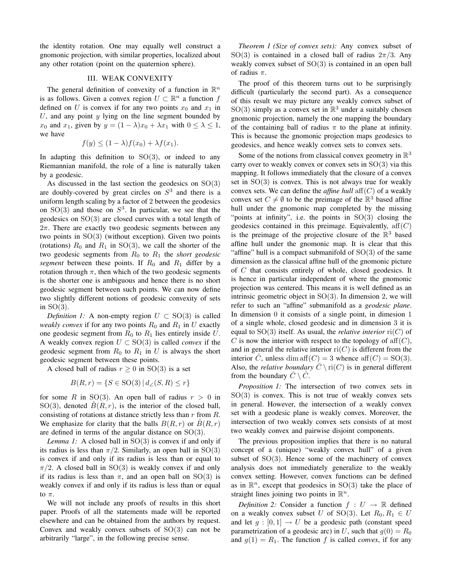the identity rotation. One may equally well construct a gnomonic projection, with similar properties, localized about any other rotation (point on the quaternion sphere).

### III. WEAK CONVEXITY

The general definition of convexity of a function in  $\mathbb{R}^n$ is as follows. Given a convex region  $U \subset \mathbb{R}^n$  a function f defined on U is convex if for any two points  $x_0$  and  $x_1$  in  $U$ , and any point  $y$  lying on the line segment bounded by  $x_0$  and  $x_1$ , given by  $y = (1 - \lambda)x_0 + \lambda x_1$  with  $0 \le \lambda \le 1$ , we have

$$
f(y) \le (1 - \lambda)f(x_0) + \lambda f(x_1).
$$

In adapting this definition to  $SO(3)$ , or indeed to any Riemannian manifold, the role of a line is naturally taken by a geodesic.

As discussed in the last section the geodesics on SO(3) are doubly-covered by great circles on  $S<sup>3</sup>$  and there is a uniform length scaling by a factor of 2 between the geodesics on  $SO(3)$  and those on  $S^3$ . In particular, we see that the geodesics on  $SO(3)$  are closed curves with a total length of  $2\pi$ . There are exactly two geodesic segments between any two points in SO(3) (without exception). Given two points (rotations)  $R_0$  and  $R_1$  in SO(3), we call the shorter of the two geodesic segments from  $R_0$  to  $R_1$  the *short geodesic segment* between these points. If  $R_0$  and  $R_1$  differ by a rotation through  $\pi$ , then which of the two geodesic segments is the shorter one is ambiguous and hence there is no short geodesic segment between such points. We can now define two slightly different notions of geodesic convexity of sets in  $SO(3)$ .

*Definition 1:* A non-empty region  $U \subset SO(3)$  is called *weakly convex* if for any two points  $R_0$  and  $R_1$  in U exactly one geodesic segment from  $R_0$  to  $R_1$  lies entirely inside  $U$ . A weakly convex region  $U \subset SO(3)$  is called *convex* if the geodesic segment from  $R_0$  to  $R_1$  in U is always the short geodesic segment between these points.

A closed ball of radius  $r \geq 0$  in SO(3) is a set

$$
B(R, r) = \{ S \in SO(3) | d_{\angle}(S, R) \le r \}
$$

for some R in SO(3). An open ball of radius  $r > 0$  in SO(3), denoted  $\tilde{B}(R, r)$ , is the interior of the closed ball, consisting of rotations at distance strictly less than r from R. We emphasize for clarity that the balls  $B(R, r)$  or  $\tilde{B}(R, r)$ are defined in terms of the angular distance on SO(3).

*Lemma 1:* A closed ball in SO(3) is convex if and only if its radius is less than  $\pi/2$ . Similarly, an open ball in SO(3) is convex if and only if its radius is less than or equal to  $\pi/2$ . A closed ball in SO(3) is weakly convex if and only if its radius is less than  $\pi$ , and an open ball on SO(3) is weakly convex if and only if its radius is less than or equal to  $\pi$ .

We will not include any proofs of results in this short paper. Proofs of all the statements made will be reported elsewhere and can be obtained from the authors by request. Convex and weakly convex subsets of  $SO(3)$  can not be arbitrarily "large", in the following precise sense.

*Theorem 1 (Size of convex sets):* Any convex subset of SO(3) is contained in a closed ball of radius  $2\pi/3$ . Any weakly convex subset of SO(3) is contained in an open ball of radius  $\pi$ .

The proof of this theorem turns out to be surprisingly difficult (particularly the second part). As a consequence of this result we may picture any weakly convex subset of  $SO(3)$  simply as a convex set in  $\mathbb{R}^3$  under a suitably chosen gnomonic projection, namely the one mapping the boundary of the containing ball of radius  $\pi$  to the plane at infinity. This is because the gnomonic projection maps geodesics to geodesics, and hence weakly convex sets to convex sets.

Some of the notions from classical convex geometry in  $\mathbb{R}^3$ carry over to weakly convex or convex sets in  $SO(3)$  via this mapping. It follows immediately that the closure of a convex set in  $SO(3)$  is convex. This is not always true for weakly convex sets. We can define the *affine hull*  $\text{aff}(C)$  of a weakly convex set  $C \neq \emptyset$  to be the preimage of the  $\mathbb{R}^3$  based affine hull under the gnomonic map completed by the missing "points at infinity", i.e. the points in  $SO(3)$  closing the geodesics contained in this preimage. Equivalently,  $\text{aff}(C)$ is the preimage of the projective closure of the  $\mathbb{R}^3$  based affine hull under the gnomonic map. It is clear that this "affine" hull is a compact submanifold of  $SO(3)$  of the same dimension as the classical affine hull of the gnomonic picture of C that consists entirely of whole, closed geodesics. It is hence in particular independent of where the gnomonic projection was centered. This means it is well defined as an intrinsic geometric object in  $SO(3)$ . In dimension 2, we will refer to such an "affine" submanifold as a *geodesic plane*. In dimension 0 it consists of a single point, in dimesion 1 of a single whole, closed geodesic and in dimension 3 it is equal to SO(3) itself. As usual, the *relative interior* ri(C) of C is now the interior with respect to the topology of  $aff(C)$ , and in general the relative interior  $ri(C)$  is different from the interior  $\check{C}$ , unless dim aff $(C) = 3$  whence aff $(C) = SO(3)$ . Also, the *relative boundary*  $\overline{C} \setminus \text{ri}(C)$  is in general different from the boundary  $\overline{C} \setminus \overline{C}$ .

*Proposition 1:* The intersection of two convex sets in  $SO(3)$  is convex. This is not true of weakly convex sets in general. However, the intersection of a weakly convex set with a geodesic plane is weakly convex. Moreover, the intersection of two weakly convex sets consists of at most two weakly convex and pairwise disjoint components.

The previous proposition implies that there is no natural concept of a (unique) "weakly convex hull" of a given subset of  $SO(3)$ . Hence some of the machinery of convex analysis does not immediately generalize to the weakly convex setting. However, convex functions can be defined as in  $\mathbb{R}^n$ , except that geodesics in SO(3) take the place of straight lines joining two points in  $\mathbb{R}^n$ .

*Definition 2:* Consider a function  $f : U \to \mathbb{R}$  defined on a weakly convex subset U of SO(3). Let  $R_0, R_1 \in U$ and let  $g : [0, 1] \rightarrow U$  be a geodesic path (constant speed parametrization of a geodesic arc) in U, such that  $g(0) = R_0$ and  $g(1) = R_1$ . The function f is called *convex*, if for any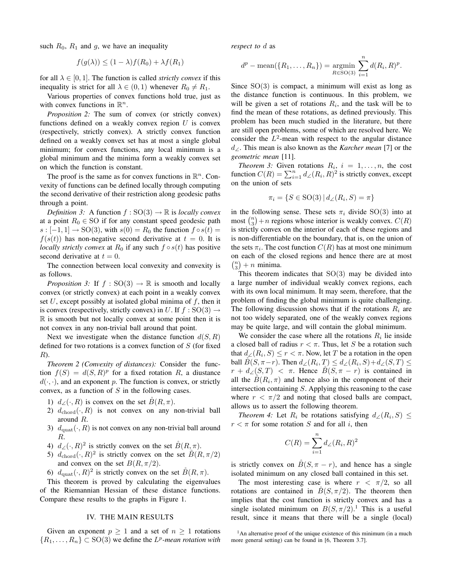such  $R_0$ ,  $R_1$  and g, we have an inequality

$$
f(g(\lambda)) \le (1 - \lambda)f(R_0) + \lambda f(R_1)
$$

for all  $\lambda \in [0, 1]$ . The function is called *strictly convex* if this inequality is strict for all  $\lambda \in (0,1)$  whenever  $R_0 \neq R_1$ .

Various properties of convex functions hold true, just as with convex functions in  $\mathbb{R}^n$ .

*Proposition 2:* The sum of convex (or strictly convex) functions defined on a weakly convex region  $U$  is convex (respectively, strictly convex). A strictly convex function defined on a weakly convex set has at most a single global minimum; for convex functions, any local minimum is a global minimum and the minima form a weakly convex set on which the function is constant.

The proof is the same as for convex functions in  $\mathbb{R}^n$ . Convexity of functions can be defined locally through computing the second derivative of their restriction along geodesic paths through a point.

*Definition 3:* A function  $f : SO(3) \rightarrow \mathbb{R}$  is *locally convex* at a point  $R_0 \in SO$  if for any constant speed geodesic path  $s: [-1, 1] \rightarrow SO(3)$ , with  $s(0) = R_0$  the function  $f \circ s(t) =$  $f(s(t))$  has non-negative second derivative at  $t = 0$ . It is *locally strictly convex* at  $R_0$  if any such  $f \circ s(t)$  has positive second derivative at  $t = 0$ .

The connection between local convexity and convexity is as follows.

*Proposition 3:* If  $f : SO(3) \rightarrow \mathbb{R}$  is smooth and locally convex (or strictly convex) at each point in a weakly convex set U, except possibly at isolated global minima of  $f$ , then it is convex (respectively, strictly convex) in U. If  $f : SO(3) \rightarrow$  $\mathbb R$  is smooth but not locally convex at some point then it is not convex in any non-trivial ball around that point.

Next we investigate when the distance function  $d(S, R)$ defined for two rotations is a convex function of  $S$  (for fixed R).

*Theorem 2 (Convexity of distances):* Consider the function  $f(S) = d(S, R)^p$  for a fixed rotation R, a diustance  $d(\cdot, \cdot)$ , and an exponent p. The function is convex, or strictly convex, as a function of  $S$  in the following cases.

- 1)  $d_{\angle}(\cdot, R)$  is convex on the set  $B(R, \pi)$ .
- 2)  $d_{chord}(\cdot, R)$  is not convex on any non-trivial ball around R.
- 3)  $d_{\text{quat}}(\cdot, R)$  is not convex on any non-trivial ball around R.
- 4)  $d_{\angle}(\cdot, R)^2$  is strictly convex on the set  $\overset{\circ}{B}(R, \pi)$ .
- 5)  $d_{\text{chord}}(\cdot, R)^2$  is strictly convex on the set  $\mathring{B}(R, \pi/2)$ and convex on the set  $B(R, \pi/2)$ .
- 6)  $d_{\text{quad}}(\cdot, R)^2$  is strictly convex on the set  $\overset{\circ}{B}(R, \pi)$ .

This theorem is proved by calculating the eigenvalues of the Riemannian Hessian of these distance functions. Compare these results to the graphs in Figure 1.

### IV. THE MAIN RESULTS

Given an exponent  $p \ge 1$  and a set of  $n \ge 1$  rotations  $\{R_1, \ldots, R_n\} \subset SO(3)$  we define the  $L^p$ -mean rotation with

*respect to* d as

$$
d^{p}
$$
 - mean( $\{R_1, ..., R_n\}$ ) = argmin<sub>R \in SO(3)</sub>  $\sum_{i=1}^{n} d(R_i, R)^{p}$ .

Since  $SO(3)$  is compact, a minimum will exist as long as the distance function is continuous. In this problem, we will be given a set of rotations  $R_i$ , and the task will be to find the mean of these rotations, as defined previously. This problem has been much studied in the literature, but there are still open problems, some of which are resolved here. We consider the  $L^2$ -mean with respect to the angular distance d∠. This mean is also known as the *Karcher mean* [7] or the *geometric mean* [11].

*Theorem 3:* Given rotations  $R_i$ ,  $i = 1, \ldots, n$ , the cost function  $C(R) = \sum_{i=1}^{n} d_{\angle}(R_i, R)^2$  is strictly convex, except on the union of sets

$$
\pi_i = \{ S \in \text{SO}(3) \mid d_{\angle}(R_i, S) = \pi \}
$$

in the following sense. These sets  $\pi_i$  divide SO(3) into at most  $\binom{n}{3} + n$  regions whose interior is weakly convex.  $C(R)$ is strictly convex on the interior of each of these regions and is non-differentiable on the boundary, that is, on the union of the sets  $\pi_i$ . The cost function  $C(R)$  has at most one minimum on each of the closed regions and hence there are at most  $\binom{n}{3} + n$  minima.

This theorem indicates that  $SO(3)$  may be divided into a large number of individual weakly convex regions, each with its own local minimum. It may seem, therefore, that the problem of finding the global minimum is quite challenging. The following discussion shows that if the rotations  $R_i$  are not too widely separated, one of the weakly convex regions may be quite large, and will contain the global minimum.

We consider the case where all the rotations  $R_i$  lie inside a closed ball of radius  $r < \pi$ . Thus, let S be a rotation such that  $d_{\angle}(R_i, S) \le r < \pi$ . Now, let T be a rotation in the open ball  $\overset{\circ}{B}(S, \pi-r)$ . Then  $d_{\angle}(R_i, T) \leq d_{\angle}(R_i, S) + d_{\angle}(S, T) \leq$  $r + d_{\angle}(S,T) < \pi$ . Hence  $B(S, \pi - r)$  is contained in all the  $\overset{\circ}{B}(R_i, \pi)$  and hence also in the component of their intersection containing S. Applying this reasoning to the case where  $r < \pi/2$  and noting that closed balls are compact, allows us to assert the following theorem.

*Theorem 4:* Let  $R_i$  be rotations satisfying  $d_{\angle}(R_i, S) \leq$  $r < \pi$  for some rotation S and for all i, then

$$
C(R) = \sum_{i=1}^{n} d_{\angle}(R_i, R)^2
$$

is strictly convex on  $B(S, \pi - r)$ , and hence has a single isolated minimum on any closed ball contained in this set.

The most interesting case is where  $r < \pi/2$ , so all rotations are contained in  $B(S, \pi/2)$ . The theorem then implies that the cost function is strictly convex and has a single isolated minimum on  $B(S, \pi/2)$ .<sup>1</sup> This is a useful result, since it means that there will be a single (local)

<sup>&</sup>lt;sup>1</sup>An alternative proof of the unique existence of this minimum (in a much more general setting) can be found in [6, Theorem 3.7].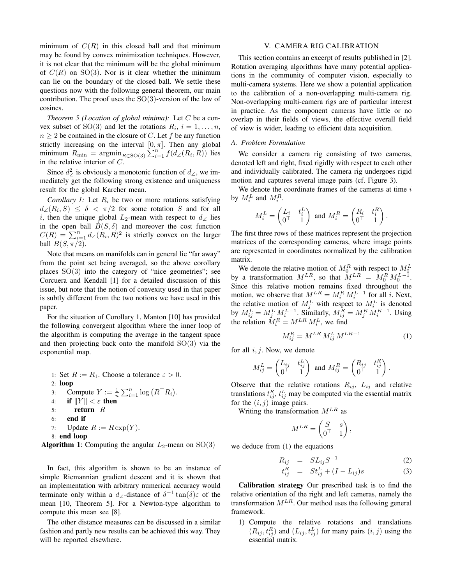minimum of  $C(R)$  in this closed ball and that minimum may be found by convex minimization techniques. However, it is not clear that the minimum will be the global minimum of  $C(R)$  on  $SO(3)$ . Nor is it clear whether the minimum can lie on the boundary of the closed ball. We settle these questions now with the following general theorem, our main contribution. The proof uses the  $SO(3)$ -version of the law of cosines.

*Theorem 5 (Location of global minima):* Let C be a convex subset of SO(3) and let the rotations  $R_i$ ,  $i = 1, \ldots, n$ ,  $n \geq 2$  be contained in the closure of C. Let f be any function strictly increasing on the interval  $[0, \pi]$ . Then any global minimum  $R_{\min} = \operatorname{argmin}_{R \in SO(3)} \sum_{i=1}^{n} f(d_{\angle}(R_i, R))$  lies in the relative interior of C.

Since  $d^2$  is obviously a monotonic function of  $d_{\angle}$ , we immediately get the following strong existence and uniqueness result for the global Karcher mean.

*Corollary 1:* Let  $R_i$  be two or more rotations satisfying  $d_{\angle}(R_i, S) \leq \delta \langle \pi/2 \rangle$  for some rotation S and for all i, then the unique global  $L_2$ -mean with respect to  $d_{\angle}$  lies in the open ball  $\tilde{B}(S,\delta)$  and moreover the cost function  $C(R) = \sum_{i=1}^{n} d \angle (R_i, R)^2$  is strictly convex on the larger ball  $B(S, \pi/2)$ .

Note that means on manifolds can in general lie "far away" from the point set being averaged, so the above corollary places SO(3) into the category of "nice geometries"; see Corcuera and Kendall [1] for a detailed discussion of this issue, but note that the notion of convexity used in that paper is subtly different from the two notions we have used in this paper.

For the situation of Corollary 1, Manton [10] has provided the following convergent algorithm where the inner loop of the algorithm is computing the average in the tangent space and then projecting back onto the manifold SO(3) via the exponential map.

\n- 1: Set 
$$
R := R_1
$$
. Choose a tolerance  $\varepsilon > 0$ .
\n- 2: **loop**
\n- 3: Compute  $Y := \frac{1}{n} \sum_{i=1}^n \log (R^T R_i)$ .
\n- 4: if  $||Y|| < \varepsilon$  then
\n- 5: return  $R$
\n- 6: **end if**
\n- 7: Update  $R := R \exp(Y)$ .
\n- 8: **end loop**
\n

```
Algorithm 1: Computing the angular L_2-mean on SO(3)
```
In fact, this algorithm is shown to be an instance of simple Riemannian gradient descent and it is shown that an implementation with arbitrary numerical accuracy would terminate only within a  $d_{\angle}$ -distance of  $\delta^{-1} \tan(\delta) \varepsilon$  of the mean [10, Theorem 5]. For a Newton-type algorithm to compute this mean see [8].

The other distance measures can be discussed in a similar fashion and partly new results can be achieved this way. They will be reported elsewhere.

### V. CAMERA RIG CALIBRATION

This section contains an excerpt of results published in [2]. Rotation averaging algorithms have many potential applications in the community of computer vision, especially to multi-camera systems. Here we show a potential application to the calibration of a non-overlapping multi-camera rig. Non-overlapping multi-camera rigs are of particular interest in practice. As the component cameras have little or no overlap in their fields of views, the effective overall field of view is wider, leading to efficient data acquisition.

## *A. Problem Formulation*

We consider a camera rig consisting of two cameras, denoted left and right, fixed rigidly with respect to each other and individually calibrated. The camera rig undergoes rigid motion and captures several image pairs (cf. Figure 3).

We denote the coordinate frames of the cameras at time  $i$ by  $M_i^L$  and  $M_i^R$ .

$$
M_i^L = \begin{pmatrix} L_i & t_i^L \\ 0^{\top} & 1 \end{pmatrix} \text{ and } M_i^R = \begin{pmatrix} R_i & t_i^R \\ 0^{\top} & 1 \end{pmatrix}.
$$

The first three rows of these matrices represent the projection matrices of the corresponding cameras, where image points are represented in coordinates normalized by the calibration matrix.

We denote the relative motion of  $M_0^R$  with respect to  $M_0^L$ <br>by a transformation  $M^{LR}$ , so that  $M^{LR} = M_0^R M_0^{L-1}$ . Since this relative motion remains fixed throughout the motion, we observe that  $M^{LR} = M_i^R M_i^{L-1}$  for all *i*. Next, the relative motion of  $M_j^L$  with respect to  $M_i^L$  is denoted by  $M_{ij}^L = M_j^L M_i^{L-1}$ . Similarly,  $M_{ij}^R = M_j^R M_i^{R-1}$ . Using the relation  $\dot{M}_i^R = M^{LR} M_i^L$ , we find

$$
M_{ij}^R = M^{LR} M_{ij}^L M^{LR-1}
$$
 (1)

for all  $i, j$ . Now, we denote

$$
M_{ij}^L = \begin{pmatrix} L_{ij} & t_{ij}^L \\ 0 & 1 \end{pmatrix} \text{ and } M_{ij}^R = \begin{pmatrix} R_{ij} & t_{ij}^R \\ 0 & 1 \end{pmatrix}.
$$

Observe that the relative rotations  $R_{ij}$ ,  $L_{ij}$  and relative translations  $t_{ij}^R$ ,  $t_{ij}^L$  may be computed via the essential matrix for the  $(i, j)$  image pairs.

Writing the transformation  $M^{LR}$  as

$$
M^{LR} = \begin{pmatrix} S & s \\ 0^\top & 1 \end{pmatrix},
$$

we deduce from (1) the equations

$$
R_{ij} = SL_{ij}S^{-1}
$$
 (2)

$$
t_{ij}^R = St_{ij}^L + (I - L_{ij})s
$$
 (3)

Calibration strategy Our prescribed task is to find the relative orientation of the right and left cameras, namely the transformation  $M^{LR}$ . Our method uses the following general framework.

1) Compute the relative rotations and translations  $(R_{ij}, t_{ij}^R)$  and  $(L_{ij}, t_{ij}^L)$  for many pairs  $(i, j)$  using the essential matrix.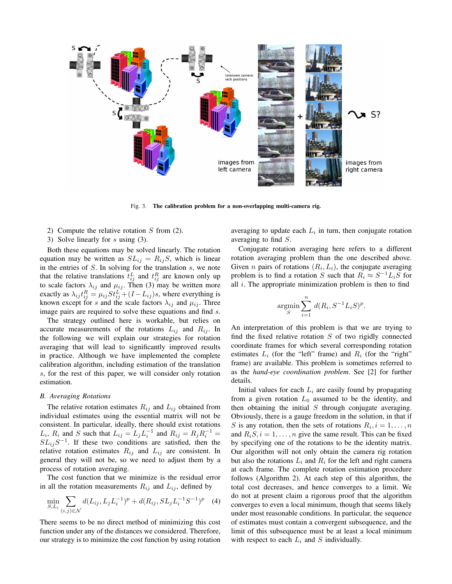

Fig. 3. The calibration problem for a non-overlapping multi-camera rig.

- 2) Compute the relative rotation  $S$  from (2).
- 3) Solve linearly for s using (3).

Both these equations may be solved linearly. The rotation equation may be written as  $SL_{ij} = R_{ij}S$ , which is linear in the entries of  $S$ . In solving for the translation  $s$ , we note that the relative translations  $t_{ij}^L$  and  $t_{ij}^R$  are known only up to scale factors  $\lambda_{ij}$  and  $\mu_{ij}$ . Then (3) may be written more exactly as  $\lambda_{ij} t_{ij}^R = \mu_{ij} S t_{ij}^L + (I - L_{ij})s$ , where everything is known except for s and the scale factors  $\lambda_{ij}$  and  $\mu_{ij}$ . Three image pairs are required to solve these equations and find s.

The strategy outlined here is workable, but relies on accurate measurements of the rotations  $L_{ij}$  and  $R_{ij}$ . In the following we will explain our strategies for rotation averaging that will lead to significantly improved results in practice. Although we have implemented the complete calibration algorithm, including estimation of the translation s, for the rest of this paper, we will consider only rotation estimation.

#### *B. Averaging Rotations*

The relative rotation estimates  $R_{ij}$  and  $L_{ij}$  obtained from individual estimates using the essential matrix will not be consistent. In particular, ideally, there should exist rotations  $L_i$ ,  $R_i$  and S such that  $L_{ij} = L_j L_i^{-1}$  and  $R_{ij} = R_j R_i^{-1} =$  $SL_{ij}S^{-1}$ . If these two conditions are satisfied, then the relative rotation estimates  $R_{ij}$  and  $L_{ij}$  are consistent. In general they will not be, so we need to adjust them by a process of rotation averaging.

The cost function that we minimize is the residual error in all the rotation measurements  $R_{ij}$  and  $L_{ij}$ , defined by

$$
\min_{S,L_i} \sum_{(i,j)\in\mathcal{N}} d(L_{ij}, L_j L_i^{-1})^p + d(R_{ij}, SL_j L_i^{-1} S^{-1})^p \quad (4)
$$

There seems to be no direct method of minimizing this cost function under any of the distances we considered. Therefore, our strategy is to minimize the cost function by using rotation

averaging to update each  $L_i$  in turn, then conjugate rotation averaging to find S.

Conjugate rotation averaging here refers to a different rotation averaging problem than the one described above. Given *n* pairs of rotations  $(R_i, L_i)$ , the conjugate averaging problem is to find a rotation S such that  $R_i \approx S^{-1}L_iS$  for all  $i$ . The appropriate minimization problem is then to find

$$
\operatorname*{argmin}_{S} \sum_{i=1}^{n} d(R_i, S^{-1}L_iS)^p.
$$

An interpretation of this problem is that we are trying to find the fixed relative rotation  $S$  of two rigidly connected coordinate frames for which several corresponding rotation estimates  $L_i$  (for the "left" frame) and  $R_i$  (for the "right" frame) are available. This problem is sometimes referred to as the *hand-eye coordination problem*. See [2] for further details.

Initial values for each  $L_i$  are easily found by propagating from a given rotation  $L_0$  assumed to be the identity, and then obtaining the initial  $S$  through conjugate averaging. Obviously, there is a gauge freedom in the solution, in that if S is any rotation, then the sets of rotations  $R_i$ ,  $i = 1, \ldots, n$ and  $R_i S, i = 1, \ldots, n$  give the same result. This can be fixed by specifying one of the rotations to be the identity matrix. Our algorithm will not only obtain the camera rig rotation but also the rotations  $L_i$  and  $R_i$  for the left and right camera at each frame. The complete rotation estimation procedure follows (Algorithm 2). At each step of this algorithm, the total cost decreases, and hence converges to a limit. We do not at present claim a rigorous proof that the algorithm converges to even a local minimum, though that seems likely under most reasonable conditions. In particular, the sequence of estimates must contain a convergent subsequence, and the limit of this subsequence must be at least a local minimum with respect to each  $L_i$  and  $S$  individually.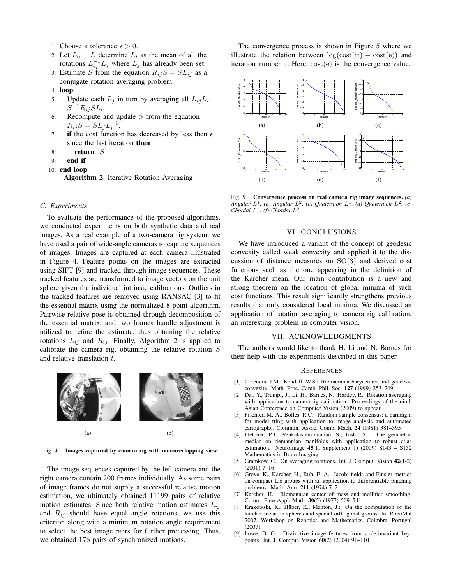- 1: Choose a tolerance  $\epsilon > 0$ .
- 2: Let  $L_0 = I$ , determine  $L_i$  as the mean of all the rotations  $L_{ij}^{-1}L_j$  where  $L_j$  has already been set.
- 3: Estimate S from the equation  $R_{ij}S = SL_{ij}$  as a conjugate rotation averaging problem.
- 4: loop
- 5: Update each  $L_j$  in turn by averaging all  $L_{ij}L_i$ ,  $S^{-1}R_{ij}SL_i.$
- 6: Recompute and update  $S$  from the equation  $R_{ij}S = SL_j L_i^{-1}.$
- 7: if the cost function has decreased by less then  $\epsilon$ since the last iteration then
- 8: return S
- 9: end if
- 10: end loop

Algorithm 2: Iterative Rotation Averaging

## *C. Experiments*

To evaluate the performance of the proposed algorithms, we conducted experiments on both synthetic data and real images. As a real example of a two-camera rig system, we have used a pair of wide-angle cameras to capture sequences of images. Images are captured at each camera illustrated in Figure 4. Feature points on the images are extracted using SIFT [9] and tracked through image sequences. These tracked features are transformed to image vectors on the unit sphere given the individual intrinsic calibrations. Outliers in the tracked features are removed using RANSAC [3] to fit the essential matrix using the normalized 8 point algorithm. Pairwise relative pose is obtained through decomposition of the essential matrix, and two frames bundle adjustment is utilized to refine the estimate, thus obtaining the relative rotations  $L_{ij}$  and  $R_{ij}$ . Finally, Algorithm 2 is applied to calibrate the camera rig, obtaining the relative rotation  $S$ and relative translation t.



Fig. 4. Images captured by camera rig with non-overlapping view

The image sequences captured by the left camera and the right camera contain 200 frames individually. As some pairs of image frames do not supply a successful relative motion estimation, we ultimately obtained 11199 pairs of relative motion estimates. Since both relative motion estimates  $L_{ij}$ and  $R_{ij}$  should have equal angle rotations, we use this criterion along with a minimum rotation angle requirement to select the best image pairs for further processing. Thus, we obtained 176 pairs of synchronized motions.

The convergence process is shown in Figure 5 where we illustrate the relation between  $log(cost(it) - cost(e))$  and iteration number it. Here, cost(e) is the convergence value.



Fig. 5. Convergence process on real camera rig image sequences. *(a) Angular*  $L^1$ . (b) Angular  $L^2$ . (c) Quaternion  $L^1$ . (d) Quaternion  $L^2$ . (e) *Chordal*  $L^1$ *. (f) Chordal*  $L^2$ *.* 

## VI. CONCLUSIONS

We have introduced a variant of the concept of geodesic convexity called weak convexity and applied it to the discussion of distance measures on SO(3) and derived cost functions such as the one appearing in the definition of the Karcher mean. Our main contribution is a new and strong theorem on the location of global minima of such cost functions. This result significantly strengthens previous results that only considered local minima. We discussed an application of rotation averaging to camera rig calibration, an interesting problem in computer vision.

#### VII. ACKNOWLEDGMENTS

The authors would like to thank H. Li and N. Barnes for their help with the experiments described in this paper.

#### **REFERENCES**

- [1] Corcuera, J.M., Kendall, W.S.: Riemannian barycentres and geodesic convexity. Math. Proc. Camb. Phil. Soc. 127 (1999) 253–269
- [2] Dai, Y., Trumpf, J., Li, H., Barnes, N., Hartley, R.: Rotation averaging with application to camera-rig calibration. Proceedings of the ninth Asian Conference on Computer Vision (2009) to appear
- [3] Fischler, M. A., Bolles, R.C.: Random sample consensus: a paradigm for model tting with application to image analysis and automated cartography. Commun. Assoc. Comp. Mach. 24 (1981) 381–395
- [4] Fletcher, P.T., Venkatasubramanian, S., Joshi, S.: The geometric median on riemannian manifolds with application to robust atlas estimation. NeuroImage  $45(1, \text{Supplement } 1)$  (2009) S143 – S152 Mathematics in Brain Imaging.
- [5] Gramkow, C.: On averaging rotations. Int. J. Comput. Vision 42(1-2) (2001) 7–16
- [6] Grove, K., Karcher, H., Ruh, E. A.: Jacobi fields and Finsler metrics on compact Lie groups with an application to differentiable pinching problems. Math. Ann. 211 (1974) 7–21
- [7] Karcher, H.: Riemannian center of mass and mollifier smoothing. Comm. Pure Appl. Math. 30(5) (1977) 509–541
- [8] Krakowski, K., Hüper, K., Manton, J.: On the computation of the karcher mean on spheres and special orthogonal groups. In: RoboMat 2007, Workshop on Robotics and Mathematics, Coimbra, Portugal (2007)
- [9] Lowe, D. G.: Distinctive image features from scale-invariant keypoints. Int. J. Comput. Vision 60(2) (2004) 91–110